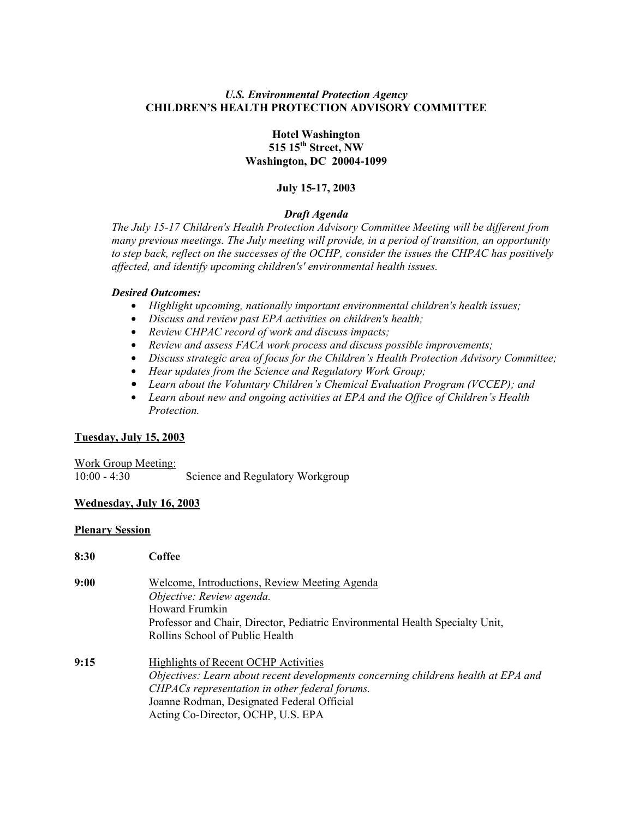## *U.S. Environmental Protection Agency* **CHILDREN'S HEALTH PROTECTION ADVISORY COMMITTEE**

### **Hotel Washington 515 15th Street, NW Washington, DC 20004-1099**

#### **July 15-17, 2003**

#### *Draft Agenda*

*The July 15-17 Children's Health Protection Advisory Committee Meeting will be different from many previous meetings. The July meeting will provide, in a period of transition, an opportunity to step back, reflect on the successes of the OCHP, consider the issues the CHPAC has positively affected, and identify upcoming children's' environmental health issues.* 

#### *Desired Outcomes:*

- \$ *Highlight upcoming, nationally important environmental children's health issues;*
- $\bullet$  *Discuss and review past EPA activities on children's health;*
- Review CHPAC record of work and discuss impacts;
- Review and assess FACA work process and discuss possible improvements;
- **•** Discuss strategic area of focus for the Children's Health Protection Advisory Committee;
- $\bullet$  *Hear updates from the Science and Regulatory Work Group;*
- \$ *Learn about the Voluntary Children's Chemical Evaluation Program (VCCEP); and*
- Learn about new and ongoing activities at EPA and the Office of Children's Health *Protection.*

#### **Tuesday, July 15, 2003**

Work Group Meeting: 10:00 - 4:30 Science and Regulatory Workgroup

#### **Wednesday, July 16, 2003**

#### **Plenary Session**

| 8:30 | Coffee                                                                             |
|------|------------------------------------------------------------------------------------|
| 9:00 | Welcome, Introductions, Review Meeting Agenda                                      |
|      | Objective: Review agenda.                                                          |
|      | Howard Frumkin                                                                     |
|      | Professor and Chair, Director, Pediatric Environmental Health Specialty Unit,      |
|      | Rollins School of Public Health                                                    |
| 9:15 | Highlights of Recent OCHP Activities                                               |
|      | Objectives: Learn about recent developments concerning childrens health at EPA and |
|      | CHPACs representation in other federal forums.                                     |
|      | Joanne Rodman, Designated Federal Official                                         |
|      | Acting Co-Director, OCHP, U.S. EPA                                                 |
|      |                                                                                    |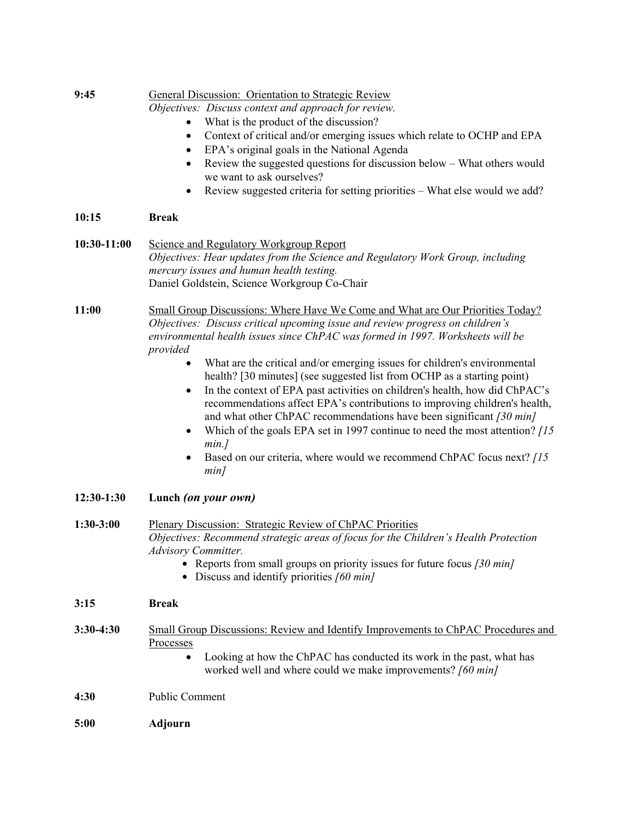| 9:45         | General Discussion: Orientation to Strategic Review<br>Objectives: Discuss context and approach for review.                                                                                                                                                                                                                                                                                                                                                                                                                                                                                           |
|--------------|-------------------------------------------------------------------------------------------------------------------------------------------------------------------------------------------------------------------------------------------------------------------------------------------------------------------------------------------------------------------------------------------------------------------------------------------------------------------------------------------------------------------------------------------------------------------------------------------------------|
|              | What is the product of the discussion?                                                                                                                                                                                                                                                                                                                                                                                                                                                                                                                                                                |
|              | Context of critical and/or emerging issues which relate to OCHP and EPA<br>٠<br>EPA's original goals in the National Agenda<br>$\bullet$                                                                                                                                                                                                                                                                                                                                                                                                                                                              |
|              | Review the suggested questions for discussion below - What others would<br>$\bullet$<br>we want to ask ourselves?                                                                                                                                                                                                                                                                                                                                                                                                                                                                                     |
|              | Review suggested criteria for setting priorities - What else would we add?<br>٠                                                                                                                                                                                                                                                                                                                                                                                                                                                                                                                       |
| 10:15        | <b>Break</b>                                                                                                                                                                                                                                                                                                                                                                                                                                                                                                                                                                                          |
| 10:30-11:00  | Science and Regulatory Workgroup Report<br>Objectives: Hear updates from the Science and Regulatory Work Group, including<br>mercury issues and human health testing.<br>Daniel Goldstein, Science Workgroup Co-Chair                                                                                                                                                                                                                                                                                                                                                                                 |
| 11:00        | Small Group Discussions: Where Have We Come and What are Our Priorities Today?<br>Objectives: Discuss critical upcoming issue and review progress on children's<br>environmental health issues since ChPAC was formed in 1997. Worksheets will be<br>provided                                                                                                                                                                                                                                                                                                                                         |
|              | What are the critical and/or emerging issues for children's environmental<br>٠<br>health? [30 minutes] (see suggested list from OCHP as a starting point)<br>In the context of EPA past activities on children's health, how did ChPAC's<br>$\bullet$<br>recommendations affect EPA's contributions to improving children's health,<br>and what other ChPAC recommendations have been significant [30 min]<br>Which of the goals EPA set in 1997 continue to need the most attention? [15]<br>$\bullet$<br>min.<br>Based on our criteria, where would we recommend ChPAC focus next? [15]<br>٠<br>min |
| $12:30-1:30$ | Lunch (on your own)                                                                                                                                                                                                                                                                                                                                                                                                                                                                                                                                                                                   |
| $1:30-3:00$  | Plenary Discussion: Strategic Review of ChPAC Priorities<br>Objectives: Recommend strategic areas of focus for the Children's Health Protection<br>Advisory Committer.<br>• Reports from small groups on priority issues for future focus $\frac{30}{130}$ min]<br>• Discuss and identify priorities $[60 \text{ min}]$                                                                                                                                                                                                                                                                               |
| 3:15         | <b>Break</b>                                                                                                                                                                                                                                                                                                                                                                                                                                                                                                                                                                                          |
| $3:30-4:30$  | Small Group Discussions: Review and Identify Improvements to ChPAC Procedures and<br>Processes<br>Looking at how the ChPAC has conducted its work in the past, what has<br>$\bullet$<br>worked well and where could we make improvements? [60 min]                                                                                                                                                                                                                                                                                                                                                    |
|              |                                                                                                                                                                                                                                                                                                                                                                                                                                                                                                                                                                                                       |
| 4:30         | <b>Public Comment</b>                                                                                                                                                                                                                                                                                                                                                                                                                                                                                                                                                                                 |